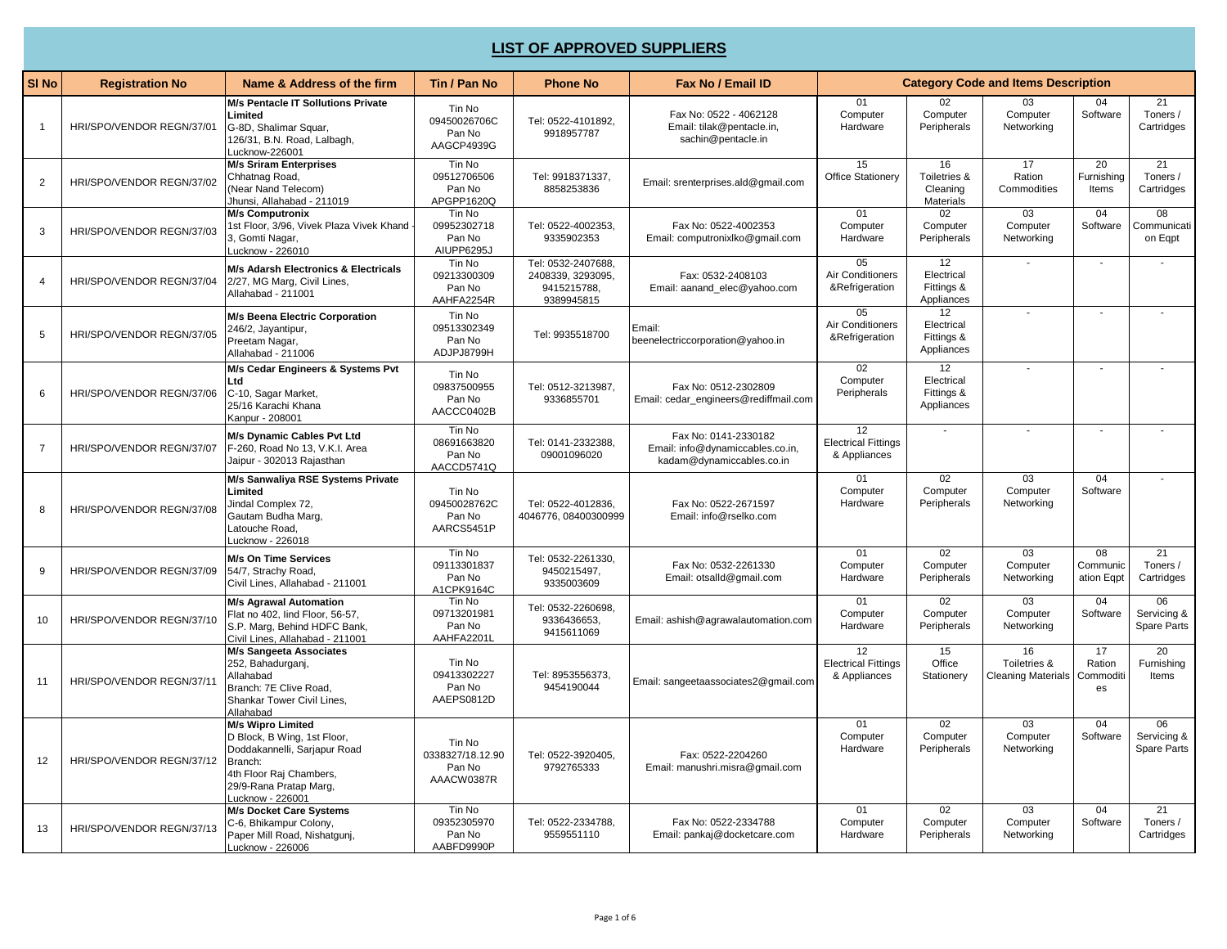## **LIST OF APPROVED SUPPLIERS**

| SI <sub>No</sub> | <b>Registration No</b>    | Name & Address of the firm                                                                                                                                           | Tin / Pan No                                       | <b>Phone No</b>                                                      | Fax No / Email ID                                                                     |                                                  | <b>Category Code and Items Description</b>   |                                                 |                                 |                                           |
|------------------|---------------------------|----------------------------------------------------------------------------------------------------------------------------------------------------------------------|----------------------------------------------------|----------------------------------------------------------------------|---------------------------------------------------------------------------------------|--------------------------------------------------|----------------------------------------------|-------------------------------------------------|---------------------------------|-------------------------------------------|
| 1                | HRI/SPO/VENDOR REGN/37/01 | M/s Pentacle IT Sollutions Private<br>Limited<br>G-8D, Shalimar Squar,<br>126/31, B.N. Road, Lalbagh,<br>-ucknow-226001                                              | Tin No<br>09450026706C<br>Pan No<br>AAGCP4939G     | Tel: 0522-4101892,<br>9918957787                                     | Fax No: 0522 - 4062128<br>Email: tilak@pentacle.in,<br>sachin@pentacle.in             | 01<br>Computer<br>Hardware                       | Computer<br>Peripherals                      | 03<br>Computer<br>Networking                    | 04<br>Software                  | 21<br>Toners /<br>Cartridges              |
| $\overline{2}$   | HRI/SPO/VENDOR REGN/37/02 | <b>M/s Sriram Enterprises</b><br>Chhatnag Road,<br>(Near Nand Telecom)<br>Jhunsi, Allahabad - 211019                                                                 | Tin No<br>09512706506<br>Pan No<br>APGPP1620Q      | Tel: 9918371337,<br>8858253836                                       | Email: srenterprises.ald@qmail.com                                                    | 15<br><b>Office Stationery</b>                   | 16<br>Toiletries &<br>Cleaning<br>Materials  | 17<br>Ration<br>Commodities                     | 20<br>Furnishing<br>Items       | $\overline{21}$<br>Toners /<br>Cartridges |
| 3                | HRI/SPO/VENDOR REGN/37/03 | <b>M/s Computronix</b><br>1st Floor, 3/96, Vivek Plaza Vivek Khand<br>3, Gomti Nagar,<br>-ucknow - 226010                                                            | Tin No<br>09952302718<br>Pan No<br>AIUPP6295J      | Tel: 0522-4002353,<br>9335902353                                     | Fax No: 0522-4002353<br>Email: computronixlko@gmail.com                               | 01<br>Computer<br>Hardware                       | 02<br>Computer<br>Peripherals                | $\overline{03}$<br>Computer<br>Networking       | 04<br>Software                  | $\overline{08}$<br>Communicati<br>on Egpt |
| 4                | HRI/SPO/VENDOR REGN/37/04 | M/s Adarsh Electronics & Electricals<br>2/27, MG Marg, Civil Lines,<br>Allahabad - 211001                                                                            | Tin No<br>09213300309<br>Pan No<br>AAHFA2254R      | Tel: 0532-2407688.<br>2408339, 3293095,<br>9415215788,<br>9389945815 | Fax: 0532-2408103<br>Email: aanand_elec@yahoo.com                                     | 05<br>Air Conditioners<br>&Refrigeration         | 12<br>Electrical<br>Fittings &<br>Appliances |                                                 |                                 |                                           |
| 5                | HRI/SPO/VENDOR REGN/37/05 | <b>M/s Beena Electric Corporation</b><br>246/2, Jayantipur,<br>Preetam Nagar,<br>Allahabad - 211006                                                                  | Tin No<br>09513302349<br>Pan No<br>ADJPJ8799H      | Tel: 9935518700                                                      | Email:<br>beenelectriccorporation@yahoo.in                                            | 05<br>Air Conditioners<br>&Refrigeration         | 12<br>Electrical<br>Fittings &<br>Appliances |                                                 |                                 |                                           |
| 6                | HRI/SPO/VENDOR REGN/37/06 | M/s Cedar Engineers & Systems Pvt<br>Ltd<br>C-10, Sagar Market,<br>25/16 Karachi Khana<br>Kanpur - 208001                                                            | Tin No<br>09837500955<br>Pan No<br>AACCC0402B      | Tel: 0512-3213987,<br>9336855701                                     | Fax No: 0512-2302809<br>Email: cedar_engineers@rediffmail.com                         | 02<br>Computer<br>Peripherals                    | 12<br>Electrical<br>Fittings &<br>Appliances | $\sim$                                          |                                 |                                           |
| $\overline{7}$   | HRI/SPO/VENDOR REGN/37/07 | <b>M/s Dynamic Cables Pvt Ltd</b><br>F-260, Road No 13, V.K.I. Area<br>Jaipur - 302013 Rajasthan                                                                     | Tin No<br>08691663820<br>Pan No<br>AACCD5741Q      | Tel: 0141-2332388.<br>09001096020                                    | Fax No: 0141-2330182<br>Email: info@dynamiccables.co.in,<br>kadam@dynamiccables.co.in | 12<br><b>Electrical Fittings</b><br>& Appliances |                                              |                                                 |                                 |                                           |
| 8                | HRI/SPO/VENDOR REGN/37/08 | M/s Sanwaliya RSE Systems Private<br>Limited<br>Jindal Complex 72,<br>Gautam Budha Marg,<br>Latouche Road,<br>_ucknow - 226018                                       | Tin No<br>09450028762C<br>Pan No<br>AARCS5451P     | Tel: 0522-4012836,<br>4046776, 08400300999                           | Fax No: 0522-2671597<br>Email: info@rselko.com                                        | 01<br>Computer<br>Hardware                       | 02<br>Computer<br>Peripherals                | 03<br>Computer<br>Networking                    | 04<br>Software                  |                                           |
| 9                | HRI/SPO/VENDOR REGN/37/09 | <b>M/s On Time Services</b><br>54/7, Strachy Road,<br>Civil Lines, Allahabad - 211001                                                                                | Tin No<br>09113301837<br>Pan No<br>A1CPK9164C      | Tel: 0532-2261330,<br>9450215497,<br>9335003609                      | Fax No: 0532-2261330<br>Email: otsalld@gmail.com                                      | 01<br>Computer<br>Hardware                       | 02<br>Computer<br>Peripherals                | 03<br>Computer<br>Networking                    | 08<br>Communic<br>ation Eqpt    | 21<br>Toners /<br>Cartridges              |
| 10               | HRI/SPO/VENDOR REGN/37/10 | <b>M/s Agrawal Automation</b><br>Flat no 402, lind Floor, 56-57,<br>S.P. Marg, Behind HDFC Bank,<br>Civil Lines, Allahabad - 211001                                  | Tin No<br>09713201981<br>Pan No<br>AAHFA2201L      | Tel: 0532-2260698,<br>9336436653,<br>9415611069                      | Email: ashish@agrawalautomation.com                                                   | 01<br>Computer<br>Hardware                       | 02<br>Computer<br>Peripherals                | 03<br>Computer<br>Networking                    | 04<br>Software                  | 06<br>Servicing &<br><b>Spare Parts</b>   |
| 11               | HRI/SPO/VENDOR REGN/37/11 | <b>M/s Sangeeta Associates</b><br>252, Bahadurganj,<br>Allahabad<br>Branch: 7E Clive Road.<br>Shankar Tower Civil Lines,<br>Allahabad                                | Tin No<br>09413302227<br>Pan No<br>AAEPS0812D      | Tel: 8953556373,<br>9454190044                                       | Email: sangeetaassociates2@gmail.com                                                  | 12<br><b>Electrical Fittings</b><br>& Appliances | 15<br>Office<br>Stationery                   | 16<br>Toiletries &<br><b>Cleaning Materials</b> | 17<br>Ration<br>Commoditi<br>es | 20<br>Furnishing<br>Items                 |
| 12               | HRI/SPO/VENDOR REGN/37/12 | M/s Wipro Limited<br>D Block, B Wing, 1st Floor,<br>Doddakannelli, Sarjapur Road<br>Branch:<br>4th Floor Raj Chambers,<br>29/9-Rana Pratap Marg.<br>Lucknow - 226001 | Tin No<br>0338327/18.12.90<br>Pan No<br>AAACW0387R | Tel: 0522-3920405.<br>9792765333                                     | Fax: 0522-2204260<br>Email: manushri.misra@qmail.com                                  | 01<br>Computer<br>Hardware                       | 02<br>Computer<br>Peripherals                | 03<br>Computer<br>Networking                    | 04<br>Software                  | 06<br>Servicing &<br><b>Spare Parts</b>   |
| 13               | HRI/SPO/VENDOR REGN/37/13 | <b>M/s Docket Care Systems</b><br>C-6, Bhikampur Colony,<br>Paper Mill Road, Nishatqunj,<br>Lucknow - 226006                                                         | Tin No<br>09352305970<br>Pan No<br>AABFD9990P      | Tel: 0522-2334788,<br>9559551110                                     | Fax No: 0522-2334788<br>Email: pankaj@docketcare.com                                  | 01<br>Computer<br>Hardware                       | 02<br>Computer<br>Peripherals                | 03<br>Computer<br>Networking                    | 04<br>Software                  | 21<br>Toners /<br>Cartridges              |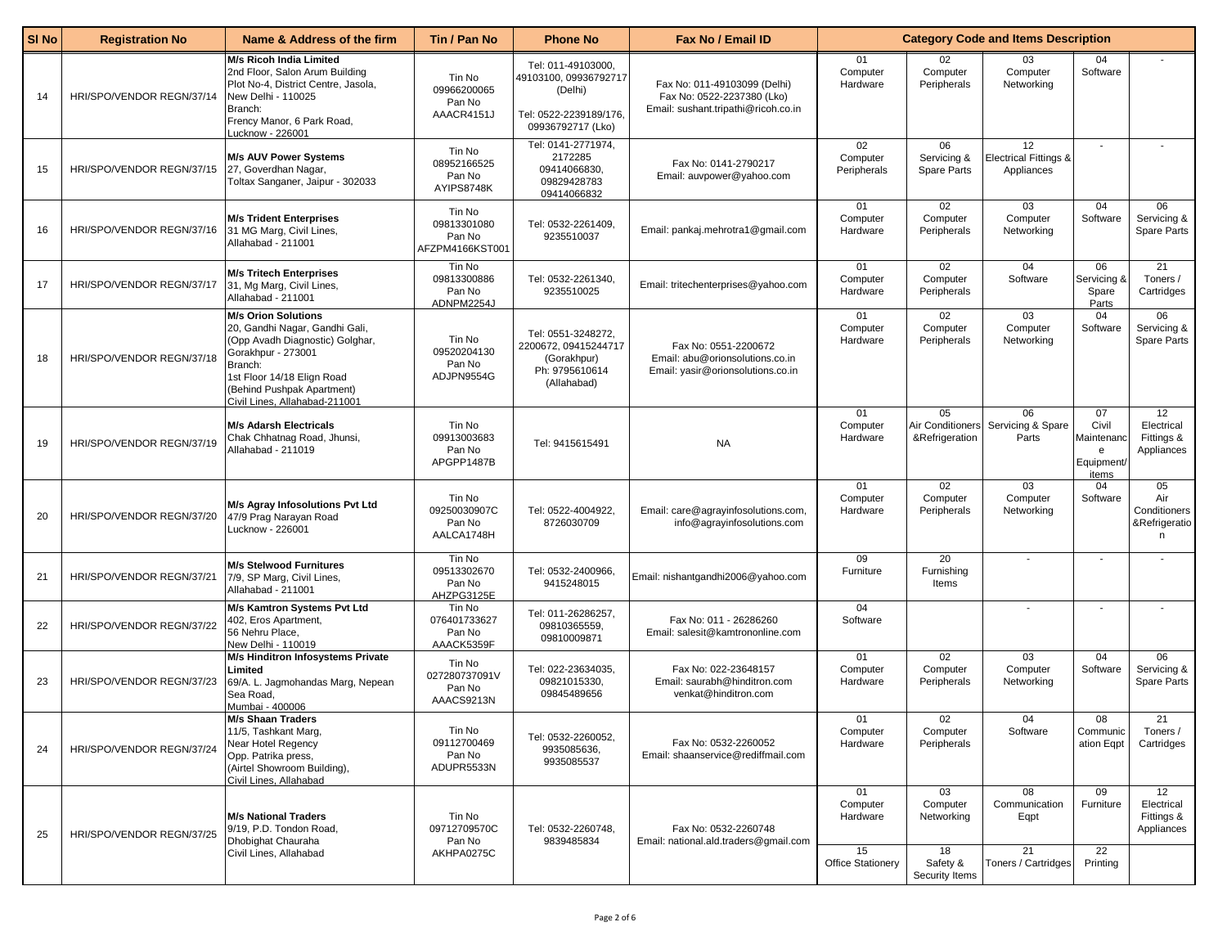| SI <sub>No</sub> | <b>Registration No</b>    | Name & Address of the firm                                                                                                                                                                                                    | Tin / Pan No                                       | <b>Phone No</b>                                                                                       | Fax No / Email ID                                                                                 |                                | <b>Category Code and Items Description</b> |                                           |                                                       |                                                  |
|------------------|---------------------------|-------------------------------------------------------------------------------------------------------------------------------------------------------------------------------------------------------------------------------|----------------------------------------------------|-------------------------------------------------------------------------------------------------------|---------------------------------------------------------------------------------------------------|--------------------------------|--------------------------------------------|-------------------------------------------|-------------------------------------------------------|--------------------------------------------------|
| 14               | HRI/SPO/VENDOR REGN/37/14 | <b>M/s Ricoh India Limited</b><br>2nd Floor, Salon Arum Building<br>Plot No-4, District Centre, Jasola,<br>New Delhi - 110025<br>Branch:<br>Frency Manor, 6 Park Road,<br>-ucknow - 226001                                    | Tin No<br>09966200065<br>Pan No<br>AAACR4151J      | Tel: 011-49103000,<br>49103100, 09936792717<br>(Delhi)<br>Tel: 0522-2239189/176,<br>09936792717 (Lko) | Fax No: 011-49103099 (Delhi)<br>Fax No: 0522-2237380 (Lko)<br>Email: sushant.tripathi@ricoh.co.in | 01<br>Computer<br>Hardware     | 02<br>Computer<br>Peripherals              | 03<br>Computer<br>Networking              | 04<br>Software                                        |                                                  |
| 15               | HRI/SPO/VENDOR REGN/37/15 | <b>M/s AUV Power Systems</b><br>27, Goverdhan Nagar,<br>Toltax Sanganer, Jaipur - 302033                                                                                                                                      | Tin No<br>08952166525<br>Pan No<br>AYIPS8748K      | Tel: 0141-2771974,<br>2172285<br>09414066830,<br>09829428783<br>09414066832                           | Fax No: 0141-2790217<br>Email: auvpower@yahoo.com                                                 | 02<br>Computer<br>Peripherals  | 06<br>Servicing &<br>Spare Parts           | 12<br>Electrical Fittings &<br>Appliances | $\overline{\phantom{a}}$                              |                                                  |
| 16               | HRI/SPO/VENDOR REGN/37/16 | <b>M/s Trident Enterprises</b><br>31 MG Marg, Civil Lines,<br>Allahabad - 211001                                                                                                                                              | Tin No<br>09813301080<br>Pan No<br>AFZPM4166KST001 | Tel: 0532-2261409,<br>9235510037                                                                      | Email: pankaj.mehrotra1@gmail.com                                                                 | 01<br>Computer<br>Hardware     | 02<br>Computer<br>Peripherals              | 03<br>Computer<br>Networking              | 04<br>Software                                        | 06<br>Servicing &<br>Spare Parts                 |
| 17               | HRI/SPO/VENDOR REGN/37/17 | <b>M/s Tritech Enterprises</b><br>31, Mg Marg, Civil Lines,<br>Allahabad - 211001                                                                                                                                             | Tin No<br>09813300886<br>Pan No<br>ADNPM2254J      | Tel: 0532-2261340,<br>9235510025                                                                      | Email: tritechenterprises@yahoo.com                                                               | 01<br>Computer<br>Hardware     | 02<br>Computer<br>Peripherals              | 04<br>Software                            | 06<br>Servicing &<br>Spare<br>Parts                   | 21<br>Toners /<br>Cartridges                     |
| 18               | HRI/SPO/VENDOR REGN/37/18 | <b>M/s Orion Solutions</b><br>20, Gandhi Nagar, Gandhi Gali,<br>(Opp Avadh Diagnostic) Golghar,<br>Gorakhpur - 273001<br>Branch:<br>1st Floor 14/18 Elign Road<br>(Behind Pushpak Apartment)<br>Civil Lines, Allahabad-211001 | Tin No<br>09520204130<br>Pan No<br>ADJPN9554G      | Tel: 0551-3248272,<br>2200672, 09415244717<br>(Gorakhpur)<br>Ph: 9795610614<br>(Allahabad)            | Fax No: 0551-2200672<br>Email: abu@orionsolutions.co.in<br>Email: yasir@orionsolutions.co.in      | 01<br>Computer<br>Hardware     | 02<br>Computer<br>Peripherals              | 03<br>Computer<br>Networking              | 04<br>Software                                        | 06<br>Servicing &<br>Spare Parts                 |
| 19               | HRI/SPO/VENDOR REGN/37/19 | <b>M/s Adarsh Electricals</b><br>Chak Chhatnag Road, Jhunsi,<br>Allahabad - 211019                                                                                                                                            | Tin No<br>09913003683<br>Pan No<br>APGPP1487B      | Tel: 9415615491                                                                                       | <b>NA</b>                                                                                         | 01<br>Computer<br>Hardware     | 05<br>Air Conditioners<br>&Refrigeration   | 06<br>Servicing & Spare<br>Parts          | 07<br>Civil<br>Maintenanc<br>e<br>Equipment/<br>items | 12<br>Electrical<br>Fittings &<br>Appliances     |
| 20               | HRI/SPO/VENDOR REGN/37/20 | M/s Agray Infosolutions Pvt Ltd<br>47/9 Prag Narayan Road<br>Lucknow - 226001                                                                                                                                                 | Tin No<br>09250030907C<br>Pan No<br>AALCA1748H     | Tel: 0522-4004922,<br>8726030709                                                                      | Email: care@agrayinfosolutions.com,<br>info@agrayinfosolutions.com                                | 01<br>Computer<br>Hardware     | 02<br>Computer<br>Peripherals              | 03<br>Computer<br>Networking              | 04<br>Software                                        | 05<br>Air<br>Conditioners<br>&Refrigeratio<br>n. |
| 21               | HRI/SPO/VENDOR REGN/37/21 | <b>M/s Stelwood Furnitures</b><br>7/9, SP Marg, Civil Lines,<br>Allahabad - 211001                                                                                                                                            | Tin No<br>09513302670<br>Pan No<br>AHZPG3125E      | Tel: 0532-2400966,<br>9415248015                                                                      | Email: nishantgandhi2006@yahoo.com                                                                | 09<br>Furniture                | 20<br>Furnishing<br>Items                  | $\sim$                                    | $\sim$                                                |                                                  |
| 22               | HRI/SPO/VENDOR REGN/37/22 | M/s Kamtron Systems Pvt Ltd<br>402, Eros Apartment,<br>56 Nehru Place,<br>New Delhi - 110019                                                                                                                                  | Tin No<br>076401733627<br>Pan No<br>AAACK5359F     | Tel: 011-26286257,<br>09810365559,<br>09810009871                                                     | Fax No: 011 - 26286260<br>Email: salesit@kamtrononline.com                                        | 04<br>Software                 |                                            | $\overline{\phantom{a}}$                  |                                                       |                                                  |
| 23               | HRI/SPO/VENDOR REGN/37/23 | M/s Hinditron Infosystems Private<br>Limited<br>69/A. L. Jagmohandas Marg, Nepean<br>Sea Road,<br>Mumbai - 400006                                                                                                             | Tin No<br>027280737091V<br>Pan No<br>AAACS9213N    | Tel: 022-23634035,<br>09821015330,<br>09845489656                                                     | Fax No: 022-23648157<br>Email: saurabh@hinditron.com<br>venkat@hinditron.com                      | 01<br>Computer<br>Hardware     | 02<br>Computer<br>Peripherals              | 03<br>Computer<br>Networking              | 04<br>Software                                        | 06<br>Servicing &<br>Spare Parts                 |
| 24               | HRI/SPO/VENDOR REGN/37/24 | <b>M/s Shaan Traders</b><br>11/5, Tashkant Marg,<br>Near Hotel Regency<br>Opp. Patrika press,<br>(Airtel Showroom Building),<br>Civil Lines, Allahabad                                                                        | Tin No<br>09112700469<br>Pan No<br>ADUPR5533N      | Tel: 0532-2260052,<br>9935085636,<br>9935085537                                                       | Fax No: 0532-2260052<br>Email: shaanservice@rediffmail.com                                        | 01<br>Computer<br>Hardware     | 02<br>Computer<br>Peripherals              | 04<br>Software                            | 08<br>Communic<br>ation Eqpt                          | 21<br>Toners /<br>Cartridges                     |
| 25               | HRI/SPO/VENDOR REGN/37/25 | <b>M/s National Traders</b><br>9/19, P.D. Tondon Road,<br>Dhobighat Chauraha                                                                                                                                                  | Tin No<br>09712709570C<br>Pan No                   | Tel: 0532-2260748,<br>9839485834                                                                      | Fax No: 0532-2260748<br>Email: national.ald.traders@gmail.com                                     | 01<br>Computer<br>Hardware     | 03<br>Computer<br>Networking               | 08<br>Communication<br>Eqpt               | 09<br>Furniture                                       | 12<br>Electrical<br>Fittings &<br>Appliances     |
|                  |                           | Civil Lines, Allahabad                                                                                                                                                                                                        | AKHPA0275C                                         |                                                                                                       |                                                                                                   | 15<br><b>Office Stationery</b> | 18<br>Safety &<br>Security Items           | 21<br>Toners / Cartridges                 | 22<br>Printing                                        |                                                  |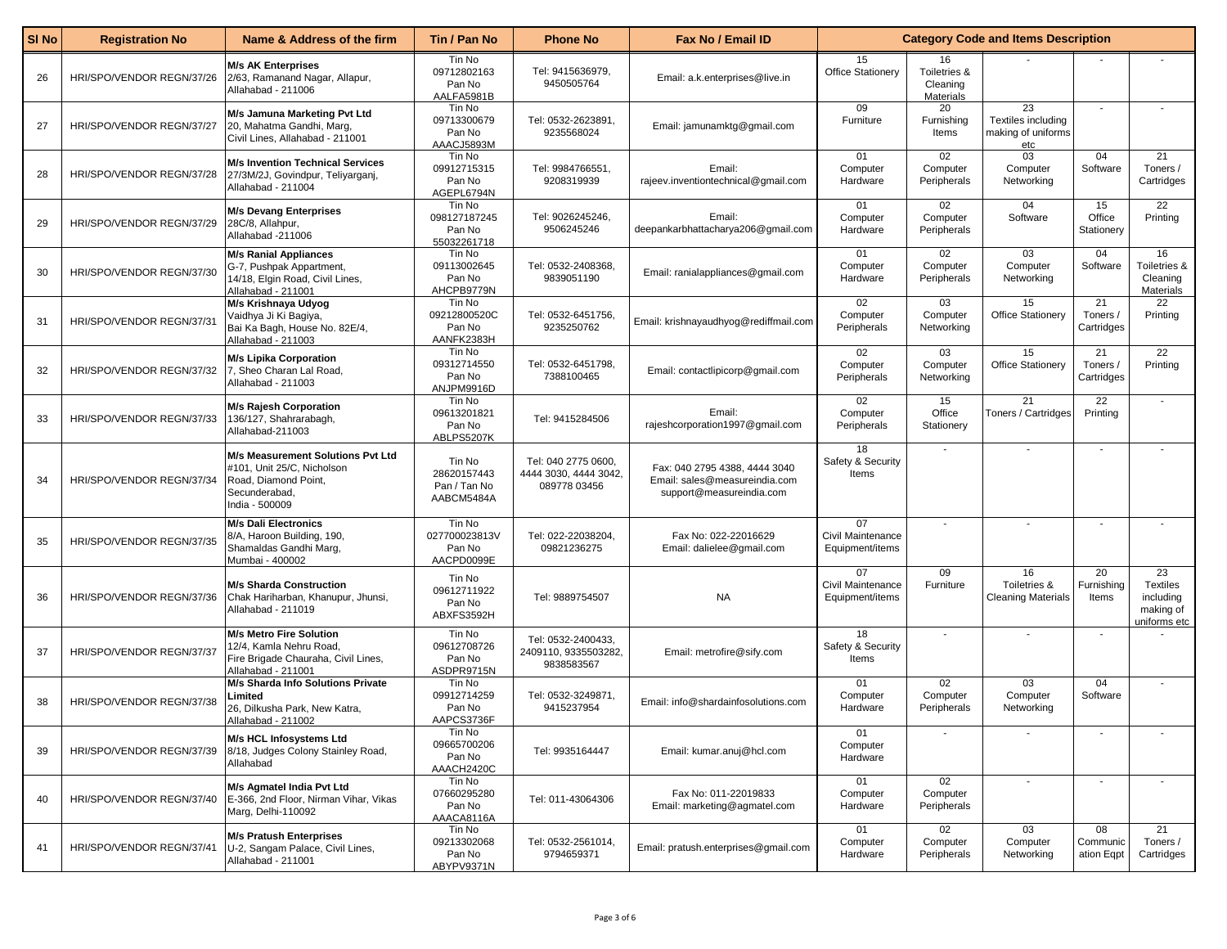| SI <sub>No</sub> | <b>Registration No</b>    | Name & Address of the firm                                                                                                 | Tin / Pan No                                        | <b>Phone No</b>                                              | Fax No / Email ID                                                                          |                                            | <b>Category Code and Items Description</b>  |                                                       |                              |                                                                 |
|------------------|---------------------------|----------------------------------------------------------------------------------------------------------------------------|-----------------------------------------------------|--------------------------------------------------------------|--------------------------------------------------------------------------------------------|--------------------------------------------|---------------------------------------------|-------------------------------------------------------|------------------------------|-----------------------------------------------------------------|
| 26               | HRI/SPO/VENDOR REGN/37/26 | <b>M/s AK Enterprises</b><br>2/63, Ramanand Nagar, Allapur,<br>Allahabad - 211006                                          | Tin No<br>09712802163<br>Pan No<br>AALFA5981B       | Tel: 9415636979,<br>9450505764                               | Email: a.k.enterprises@live.in                                                             | 15<br><b>Office Stationery</b>             | 16<br>Toiletries &<br>Cleaning<br>Materials |                                                       |                              |                                                                 |
| 27               | HRI/SPO/VENDOR REGN/37/27 | M/s Jamuna Marketing Pvt Ltd<br>20, Mahatma Gandhi, Marg,<br>Civil Lines, Allahabad - 211001                               | Tin No<br>09713300679<br>Pan No<br>AAACJ5893M       | Tel: 0532-2623891,<br>9235568024                             | Email: jamunamktg@gmail.com                                                                | 09<br>Furniture                            | 20<br>Furnishing<br>Items                   | 23<br>Textiles including<br>making of uniforms<br>etc |                              |                                                                 |
| 28               | HRI/SPO/VENDOR REGN/37/28 | <b>M/s Invention Technical Services</b><br>27/3M/2J, Govindpur, Teliyarganj,<br>Allahabad - 211004                         | Tin No<br>09912715315<br>Pan No<br>AGEPL6794N       | Tel: 9984766551,<br>9208319939                               | Email:<br>rajeev.inventiontechnical@gmail.com                                              | 01<br>Computer<br>Hardware                 | 02<br>Computer<br>Peripherals               | 03<br>Computer<br>Networking                          | 04<br>Software               | 21<br>Toners /<br>Cartridges                                    |
| 29               | HRI/SPO/VENDOR REGN/37/29 | <b>M/s Devang Enterprises</b><br>28C/8, Allahpur,<br>Allahabad -211006                                                     | Tin No<br>098127187245<br>Pan No<br>55032261718     | Tel: 9026245246,<br>9506245246                               | Email:<br>deepankarbhattacharya206@gmail.com                                               | 01<br>Computer<br>Hardware                 | 02<br>Computer<br>Peripherals               | 04<br>Software                                        | 15<br>Office<br>Stationery   | 22<br>Printing                                                  |
| 30               | HRI/SPO/VENDOR REGN/37/30 | <b>M/s Ranial Appliances</b><br>G-7, Pushpak Appartment,<br>14/18, Elgin Road, Civil Lines,<br>Allahabad - 211001          | Tin No<br>09113002645<br>Pan No<br>AHCPB9779N       | Tel: 0532-2408368,<br>9839051190                             | Email: ranialappliances@gmail.com                                                          | 01<br>Computer<br>Hardware                 | 02<br>Computer<br>Peripherals               | 03<br>Computer<br>Networking                          | 04<br>Software               | 16<br>Toiletries &<br>Cleaning<br>Materials                     |
| 31               | HRI/SPO/VENDOR REGN/37/31 | M/s Krishnaya Udyog<br>Vaidhya Ji Ki Bagiya,<br>Bai Ka Bagh, House No. 82E/4,<br>Allahabad - 211003                        | Tin No<br>09212800520C<br>Pan No<br>AANFK2383H      | Tel: 0532-6451756,<br>9235250762                             | Email: krishnayaudhyog@rediffmail.com                                                      | 02<br>Computer<br>Peripherals              | 03<br>Computer<br>Networking                | 15<br><b>Office Stationery</b>                        | 21<br>Toners /<br>Cartridges | 22<br>Printing                                                  |
| 32               | HRI/SPO/VENDOR REGN/37/32 | <b>M/s Lipika Corporation</b><br>7, Sheo Charan Lal Road,<br>Allahabad - 211003                                            | Tin No<br>09312714550<br>Pan No<br>ANJPM9916D       | Tel: 0532-6451798.<br>7388100465                             | Email: contactlipicorp@gmail.com                                                           | 02<br>Computer<br>Peripherals              | 03<br>Computer<br>Networking                | 15<br><b>Office Stationery</b>                        | 21<br>Toners /<br>Cartridges | 22<br>Printing                                                  |
| 33               | HRI/SPO/VENDOR REGN/37/33 | <b>M/s Rajesh Corporation</b><br>136/127, Shahrarabagh,<br>Allahabad-211003                                                | Tin No<br>09613201821<br>Pan No<br>ABLPS5207K       | Tel: 9415284506                                              | Email:<br>rajeshcorporation1997@gmail.com                                                  | 02<br>Computer<br>Peripherals              | 15<br>Office<br>Stationery                  | 21<br><b>Toners / Cartridges</b>                      | 22<br>Printing               |                                                                 |
| 34               | HRI/SPO/VENDOR REGN/37/34 | M/s Measurement Solutions Pvt Ltd<br>#101, Unit 25/C, Nicholson<br>Road, Diamond Point,<br>Secunderabad,<br>India - 500009 | Tin No<br>28620157443<br>Pan / Tan No<br>AABCM5484A | Tel: 040 2775 0600,<br>4444 3030, 4444 3042,<br>089778 03456 | Fax: 040 2795 4388, 4444 3040<br>Email: sales@measureindia.com<br>support@measureindia.com | 18<br>Safety & Security<br>Items           |                                             | $\overline{\phantom{a}}$                              |                              |                                                                 |
| 35               | HRI/SPO/VENDOR REGN/37/35 | <b>M/s Dali Electronics</b><br>8/A, Haroon Building, 190,<br>Shamaldas Gandhi Marq,<br>Mumbai - 400002                     | Tin No<br>027700023813V<br>Pan No<br>AACPD0099E     | Tel: 022-22038204,<br>09821236275                            | Fax No: 022-22016629<br>Email: dalielee@gmail.com                                          | 07<br>Civil Maintenance<br>Equipment/items |                                             | $\overline{\phantom{a}}$                              |                              |                                                                 |
| 36               | HRI/SPO/VENDOR REGN/37/36 | <b>M/s Sharda Construction</b><br>Chak Hariharban, Khanupur, Jhunsi,<br>Allahabad - 211019                                 | Tin No<br>09612711922<br>Pan No<br>ABXFS3592H       | Tel: 9889754507                                              | <b>NA</b>                                                                                  | 07<br>Civil Maintenance<br>Equipment/items | 09<br>Furniture                             | 16<br>Toiletries &<br><b>Cleaning Materials</b>       | 20<br>Furnishing<br>Items    | 23<br><b>Textiles</b><br>including<br>making of<br>uniforms etc |
| 37               | HRI/SPO/VENDOR REGN/37/37 | <b>M/s Metro Fire Solution</b><br>12/4. Kamla Nehru Road.<br>Fire Brigade Chauraha, Civil Lines,<br>Allahabad - 211001     | Tin No<br>09612708726<br>Pan No<br>ASDPR9715N       | Tel: 0532-2400433,<br>2409110, 9335503282,<br>9838583567     | Email: metrofire@sify.com                                                                  | 18<br>Safety & Security<br>Items           |                                             |                                                       |                              |                                                                 |
| 38               | HRI/SPO/VENDOR REGN/37/38 | M/s Sharda Info Solutions Private<br>_imited<br>26, Dilkusha Park, New Katra,<br>Allahabad - 211002                        | Tin No<br>09912714259<br>Pan No<br>AAPCS3736F       | Tel: 0532-3249871,<br>9415237954                             | Email: info@shardainfosolutions.com                                                        | 01<br>Computer<br>Hardware                 | 02<br>Computer<br>Peripherals               | 03<br>Computer<br>Networking                          | 04<br>Software               |                                                                 |
| 39               | HRI/SPO/VENDOR REGN/37/39 | M/s HCL Infosystems Ltd<br>8/18, Judges Colony Stainley Road,<br>Allahabad                                                 | Tin No<br>09665700206<br>Pan No<br>AAACH2420C       | Tel: 9935164447                                              | Email: kumar.anuj@hcl.com                                                                  | 01<br>Computer<br>Hardware                 |                                             |                                                       |                              |                                                                 |
| 40               | HRI/SPO/VENDOR REGN/37/40 | M/s Agmatel India Pvt Ltd<br>E-366, 2nd Floor, Nirman Vihar, Vikas<br>Marg, Delhi-110092                                   | Tin No<br>07660295280<br>Pan No<br>AAACA8116A       | Tel: 011-43064306                                            | Fax No: 011-22019833<br>Email: marketing@agmatel.com                                       | 01<br>Computer<br>Hardware                 | 02<br>Computer<br>Peripherals               | $\overline{\phantom{a}}$                              |                              |                                                                 |
| 41               | HRI/SPO/VENDOR REGN/37/41 | <b>M/s Pratush Enterprises</b><br>U-2, Sangam Palace, Civil Lines,<br>Allahabad - 211001                                   | Tin No<br>09213302068<br>Pan No<br>ABYPV9371N       | Tel: 0532-2561014,<br>9794659371                             | Email: pratush.enterprises@gmail.com                                                       | 01<br>Computer<br>Hardware                 | 02<br>Computer<br>Peripherals               | 03<br>Computer<br>Networking                          | 08<br>Communic<br>ation Eqpt | 21<br>Toners /<br>Cartridges                                    |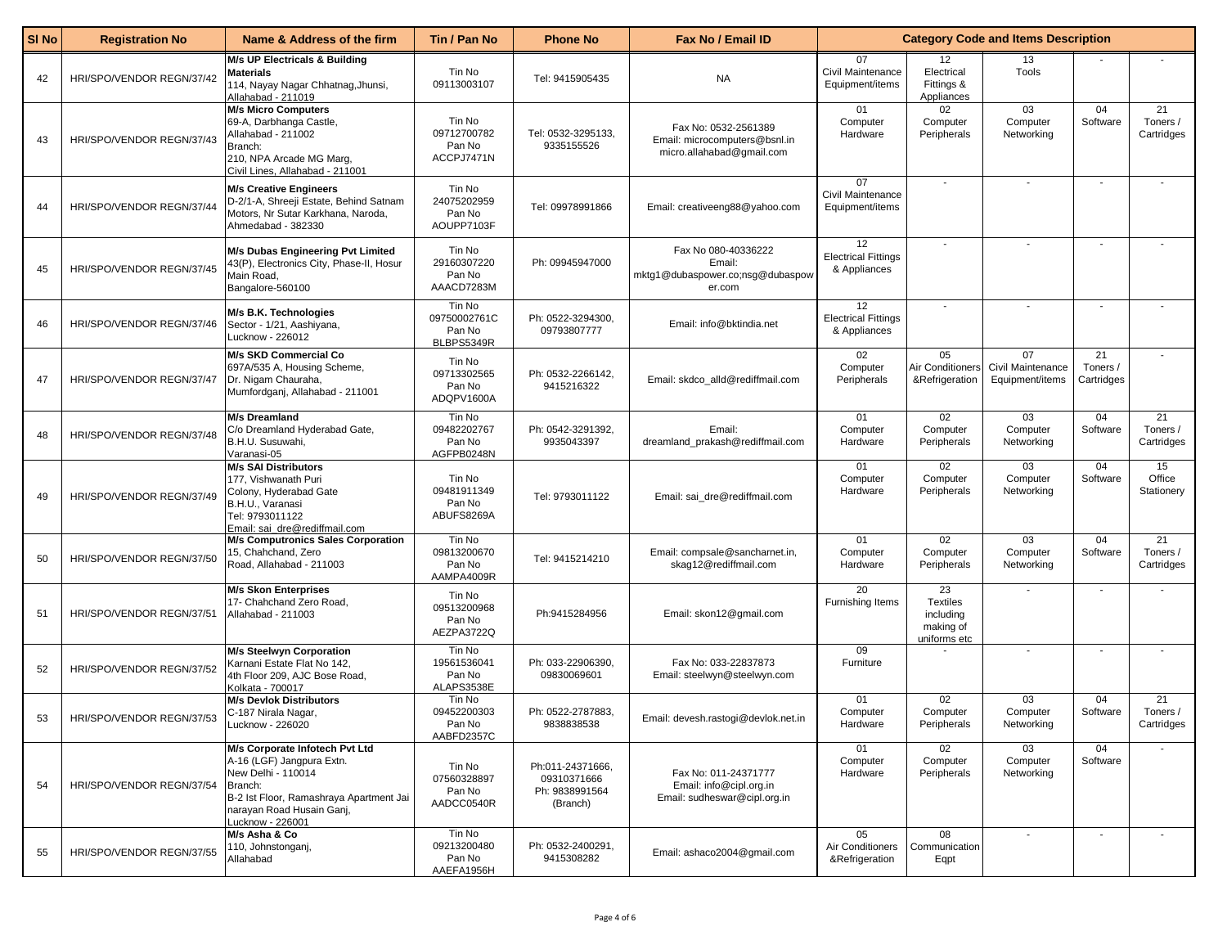| SI No | <b>Registration No</b>    | Name & Address of the firm                                                                                                                                                               | Tin / Pan No                                   | <b>Phone No</b>                                               | Fax No / Email ID                                                                  |                                                  | <b>Category Code and Items Description</b>                      |                                            |                              |                              |  |
|-------|---------------------------|------------------------------------------------------------------------------------------------------------------------------------------------------------------------------------------|------------------------------------------------|---------------------------------------------------------------|------------------------------------------------------------------------------------|--------------------------------------------------|-----------------------------------------------------------------|--------------------------------------------|------------------------------|------------------------------|--|
| 42    | HRI/SPO/VENDOR REGN/37/42 | <b>M/s UP Electricals &amp; Building</b><br><b>Materials</b><br>114, Nayay Nagar Chhatnag, Jhunsi,<br>Allahabad - 211019                                                                 | Tin No<br>09113003107                          | Tel: 9415905435                                               | <b>NA</b>                                                                          | 07<br>Civil Maintenance<br>Equipment/items       | 12<br>Electrical<br>Fittings &<br>Appliances                    | 13<br>Tools                                |                              |                              |  |
| 43    | HRI/SPO/VENDOR REGN/37/43 | <b>M/s Micro Computers</b><br>69-A, Darbhanga Castle,<br>Allahabad - 211002<br>Branch:<br>210, NPA Arcade MG Marg,<br>Civil Lines, Allahabad - 211001                                    | Tin No<br>09712700782<br>Pan No<br>ACCPJ7471N  | Tel: 0532-3295133.<br>9335155526                              | Fax No: 0532-2561389<br>Email: microcomputers@bsnl.in<br>micro.allahabad@gmail.com | 01<br>Computer<br>Hardware                       | 02<br>Computer<br>Peripherals                                   | 03<br>Computer<br>Networking               | 04<br>Software               | 21<br>Toners /<br>Cartridges |  |
| 44    | HRI/SPO/VENDOR REGN/37/44 | <b>M/s Creative Engineers</b><br>D-2/1-A, Shreeji Estate, Behind Satnam<br>Motors, Nr Sutar Karkhana, Naroda,<br>Ahmedabad - 382330                                                      | Tin No<br>24075202959<br>Pan No<br>AOUPP7103F  | Tel: 09978991866                                              | Email: creativeeng88@yahoo.com                                                     | 07<br>Civil Maintenance<br>Equipment/items       |                                                                 |                                            |                              |                              |  |
| 45    | HRI/SPO/VENDOR REGN/37/45 | <b>M/s Dubas Engineering Pvt Limited</b><br>43(P), Electronics City, Phase-II, Hosur<br>Main Road,<br>Bangalore-560100                                                                   | Tin No<br>29160307220<br>Pan No<br>AAACD7283M  | Ph: 09945947000                                               | Fax No 080-40336222<br>Email:<br>mktg1@dubaspower.co;nsg@dubaspow<br>er.com        | 12<br><b>Electrical Fittings</b><br>& Appliances |                                                                 |                                            |                              |                              |  |
| 46    | HRI/SPO/VENDOR REGN/37/46 | M/s B.K. Technologies<br>Sector - 1/21, Aashiyana,<br>Lucknow - 226012                                                                                                                   | Tin No<br>09750002761C<br>Pan No<br>BLBPS5349R | Ph: 0522-3294300,<br>09793807777                              | Email: info@bktindia.net                                                           | 12<br><b>Electrical Fittings</b><br>& Appliances |                                                                 | $\overline{\phantom{a}}$                   |                              |                              |  |
| 47    | HRI/SPO/VENDOR REGN/37/47 | <b>M/s SKD Commercial Co</b><br>697A/535 A, Housing Scheme,<br>Dr. Nigam Chauraha,<br>Mumfordganj, Allahabad - 211001                                                                    | Tin No<br>09713302565<br>Pan No<br>ADQPV1600A  | Ph: 0532-2266142,<br>9415216322                               | Email: skdco_alld@rediffmail.com                                                   | 02<br>Computer<br>Peripherals                    | 05<br>Air Conditioners<br>&Refrigeration                        | 07<br>Civil Maintenance<br>Equipment/items | 21<br>Toners /<br>Cartridges |                              |  |
| 48    | HRI/SPO/VENDOR REGN/37/48 | <b>M/s Dreamland</b><br>C/o Dreamland Hyderabad Gate,<br>B.H.U. Susuwahi,<br>Varanasi-05                                                                                                 | Tin No<br>09482202767<br>Pan No<br>AGFPB0248N  | Ph: 0542-3291392,<br>9935043397                               | Email:<br>dreamland_prakash@rediffmail.com                                         | 01<br>Computer<br>Hardware                       | 02<br>Computer<br>Peripherals                                   | 03<br>Computer<br>Networking               | 04<br>Software               | 21<br>Toners /<br>Cartridges |  |
| 49    | HRI/SPO/VENDOR REGN/37/49 | <b>M/s SAI Distributors</b><br>177, Vishwanath Puri<br>Colony, Hyderabad Gate<br>B.H.U., Varanasi<br>Tel: 9793011122<br>Email: sai_dre@rediffmail.com                                    | Tin No<br>09481911349<br>Pan No<br>ABUFS8269A  | Tel: 9793011122                                               | Email: sai_dre@rediffmail.com                                                      | 01<br>Computer<br>Hardware                       | 02<br>Computer<br>Peripherals                                   | 03<br>Computer<br>Networking               | 04<br>Software               | 15<br>Office<br>Stationery   |  |
| 50    | HRI/SPO/VENDOR REGN/37/50 | <b>M/s Computronics Sales Corporation</b><br>15, Chahchand, Zero<br>Road, Allahabad - 211003                                                                                             | Tin No<br>09813200670<br>Pan No<br>AAMPA4009R  | Tel: 9415214210                                               | Email: compsale@sancharnet.in,<br>skag12@rediffmail.com                            | 01<br>Computer<br>Hardware                       | 02<br>Computer<br>Peripherals                                   | 03<br>Computer<br>Networking               | 04<br>Software               | 21<br>Toners /<br>Cartridges |  |
| 51    | HRI/SPO/VENDOR REGN/37/51 | <b>M/s Skon Enterprises</b><br>17- Chahchand Zero Road,<br>Allahabad - 211003                                                                                                            | Tin No<br>09513200968<br>Pan No<br>AEZPA3722Q  | Ph:9415284956                                                 | Email: skon12@gmail.com                                                            | 20<br>Furnishing Items                           | 23<br><b>Textiles</b><br>including<br>making of<br>uniforms etc | $\blacksquare$                             |                              |                              |  |
| 52    | HRI/SPO/VENDOR REGN/37/52 | <b>M/s Steelwyn Corporation</b><br>Karnani Estate Flat No 142,<br>4th Floor 209, AJC Bose Road,<br>Kolkata - 700017                                                                      | Tin No<br>19561536041<br>Pan No<br>ALAPS3538E  | Ph: 033-22906390,<br>09830069601                              | Fax No: 033-22837873<br>Email: steelwyn@steelwyn.com                               | 09<br>Furniture                                  |                                                                 | $\blacksquare$                             |                              |                              |  |
| 53    | HRI/SPO/VENDOR REGN/37/53 | <b>M/s Devlok Distributors</b><br>C-187 Nirala Nagar,<br>Lucknow - 226020                                                                                                                | Tin No<br>09452200303<br>Pan No<br>AABFD2357C  | Ph: 0522-2787883.<br>9838838538                               | Email: devesh.rastogi@devlok.net.in                                                | 01<br>Computer<br>Hardware                       | 02<br>Computer<br>Peripherals                                   | 03<br>Computer<br>Networking               | 04<br>Software               | 21<br>Toners /<br>Cartridges |  |
| 54    | HRI/SPO/VENDOR REGN/37/54 | M/s Corporate Infotech Pvt Ltd<br>A-16 (LGF) Jangpura Extn.<br>New Delhi - 110014<br>Branch:<br>B-2 Ist Floor, Ramashraya Apartment Jai<br>narayan Road Husain Ganj,<br>Lucknow - 226001 | Tin No<br>07560328897<br>Pan No<br>AADCC0540R  | Ph:011-24371666,<br>09310371666<br>Ph: 9838991564<br>(Branch) | Fax No: 011-24371777<br>Email: info@cipl.org.in<br>Email: sudheswar@cipl.org.in    | 01<br>Computer<br>Hardware                       | 02<br>Computer<br>Peripherals                                   | 03<br>Computer<br>Networking               | 04<br>Software               |                              |  |
| 55    | HRI/SPO/VENDOR REGN/37/55 | M/s Asha & Co<br>110, Johnstonganj,<br>Allahabad                                                                                                                                         | Tin No<br>09213200480<br>Pan No<br>AAEFA1956H  | Ph: 0532-2400291,<br>9415308282                               | Email: ashaco2004@gmail.com                                                        | 05<br>Air Conditioners<br>&Refrigeration         | 08<br>Communication<br>Eqpt                                     | $\blacksquare$                             |                              |                              |  |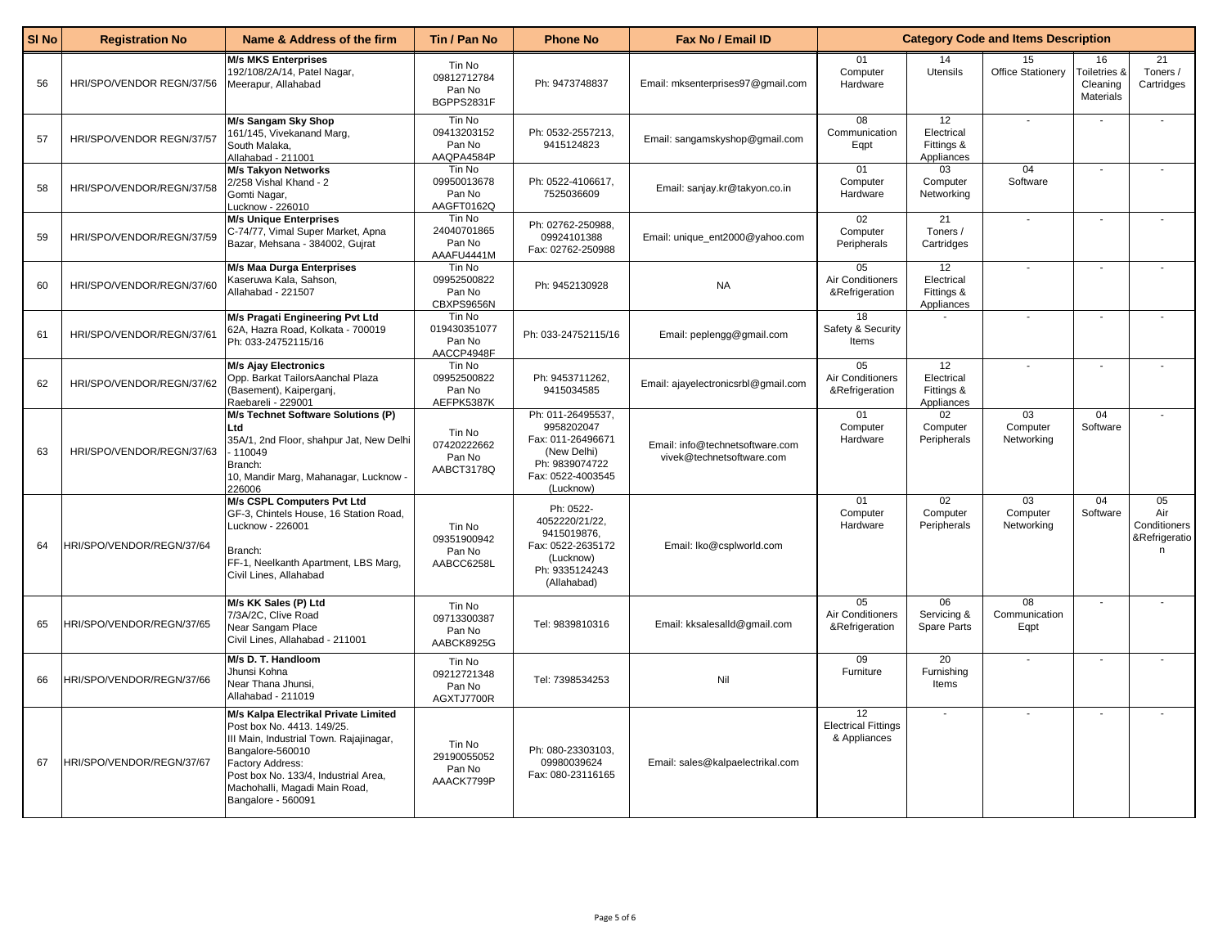| SI <sub>No</sub> | <b>Registration No</b>    | Name & Address of the firm                                                                                                                                                                                                                           | Tin / Pan No                                   | <b>Phone No</b>                                                                                                         | Fax No / Email ID                                            | <b>Category Code and Items Description</b>       |                                              |                                           |                                                        |                                                 |
|------------------|---------------------------|------------------------------------------------------------------------------------------------------------------------------------------------------------------------------------------------------------------------------------------------------|------------------------------------------------|-------------------------------------------------------------------------------------------------------------------------|--------------------------------------------------------------|--------------------------------------------------|----------------------------------------------|-------------------------------------------|--------------------------------------------------------|-------------------------------------------------|
| 56               | HRI/SPO/VENDOR REGN/37/56 | <b>M/s MKS Enterprises</b><br>192/108/2A/14, Patel Nagar,<br>Meerapur, Allahabad                                                                                                                                                                     | Tin No<br>09812712784<br>Pan No<br>BGPPS2831F  | Ph: 9473748837                                                                                                          | Email: mksenterprises97@gmail.com                            | 01<br>Computer<br>Hardware                       | 14<br>Utensils                               | 15<br>Office Stationery                   | 16<br><b>Foiletries &amp;</b><br>Cleaning<br>Materials | 21<br>Toners /<br>Cartridges                    |
| 57               | HRI/SPO/VENDOR REGN/37/57 | M/s Sangam Sky Shop<br>161/145, Vivekanand Marg,<br>South Malaka,<br>Allahabad - 211001                                                                                                                                                              | Tin No<br>09413203152<br>Pan No<br>AAQPA4584P  | Ph: 0532-2557213,<br>9415124823                                                                                         | Email: sangamskyshop@gmail.com                               | 08<br>Communication<br>Eqpt                      | 12<br>Electrical<br>Fittings &<br>Appliances |                                           |                                                        |                                                 |
| 58               | HRI/SPO/VENDOR/REGN/37/58 | <b>M/s Takyon Networks</b><br>2/258 Vishal Khand - 2<br>Gomti Nagar,<br>-ucknow - 226010                                                                                                                                                             | Tin No<br>09950013678<br>Pan No<br>AAGFT0162Q  | Ph: 0522-4106617,<br>7525036609                                                                                         | Email: sanjay.kr@takyon.co.in                                | 01<br>Computer<br>Hardware                       | 03<br>Computer<br>Networking                 | 04<br>Software                            |                                                        |                                                 |
| 59               | HRI/SPO/VENDOR/REGN/37/59 | <b>M/s Unique Enterprises</b><br>C-74/77, Vimal Super Market, Apna<br>Bazar, Mehsana - 384002, Gujrat                                                                                                                                                | Tin No<br>24040701865<br>Pan No<br>AAAFU4441M  | Ph: 02762-250988,<br>09924101388<br>Fax: 02762-250988                                                                   | Email: unique_ent2000@yahoo.com                              | 02<br>Computer<br>Peripherals                    | 21<br>Toners /<br>Cartridges                 |                                           |                                                        |                                                 |
| 60               | HRI/SPO/VENDOR/REGN/37/60 | <b>M/s Maa Durga Enterprises</b><br>Kaseruwa Kala, Sahson,<br>Allahabad - 221507                                                                                                                                                                     | Tin No<br>09952500822<br>Pan No<br>CBXPS9656N  | Ph: 9452130928                                                                                                          | <b>NA</b>                                                    | 05<br>Air Conditioners<br>&Refrigeration         | 12<br>Electrical<br>Fittings &<br>Appliances |                                           |                                                        |                                                 |
| 61               | HRI/SPO/VENDOR/REGN/37/61 | M/s Pragati Engineering Pvt Ltd<br>62A, Hazra Road, Kolkata - 700019<br>Ph: 033-24752115/16                                                                                                                                                          | Tin No<br>019430351077<br>Pan No<br>AACCP4948F | Ph: 033-24752115/16                                                                                                     | Email: peplengg@gmail.com                                    | 18<br>Safety & Security<br>Items                 | $\sim$                                       |                                           |                                                        |                                                 |
| 62               | HRI/SPO/VENDOR/REGN/37/62 | <b>M/s Ajay Electronics</b><br>Opp. Barkat TailorsAanchal Plaza<br>(Basement), Kaiperganj,<br>Raebareli - 229001                                                                                                                                     | Tin No<br>09952500822<br>Pan No<br>AEFPK5387K  | Ph: 9453711262,<br>9415034585                                                                                           | Email: ajayelectronicsrbl@gmail.com                          | 05<br>Air Conditioners<br>&Refrigeration         | 12<br>Electrical<br>Fittings &<br>Appliances |                                           |                                                        |                                                 |
| 63               | HRI/SPO/VENDOR/REGN/37/63 | M/s Technet Software Solutions (P)<br>Ltd<br>35A/1, 2nd Floor, shahpur Jat, New Delhi<br>- 110049<br>Branch:<br>10, Mandir Marg, Mahanagar, Lucknow -<br>226006                                                                                      | Tin No<br>07420222662<br>Pan No<br>AABCT3178Q  | Ph: 011-26495537.<br>9958202047<br>Fax: 011-26496671<br>(New Delhi)<br>Ph: 9839074722<br>Fax: 0522-4003545<br>(Lucknow) | Email: info@technetsoftware.com<br>vivek@technetsoftware.com | 01<br>Computer<br>Hardware                       | 02<br>Computer<br>Peripherals                | $\overline{03}$<br>Computer<br>Networking | 04<br>Software                                         |                                                 |
| 64               | HRI/SPO/VENDOR/REGN/37/64 | M/s CSPL Computers Pvt Ltd<br>GF-3, Chintels House, 16 Station Road,<br>Lucknow - 226001<br>Branch:<br>FF-1, Neelkanth Apartment, LBS Marg,<br>Civil Lines, Allahabad                                                                                | Tin No<br>09351900942<br>Pan No<br>AABCC6258L  | Ph: 0522-<br>4052220/21/22,<br>9415019876,<br>Fax: 0522-2635172<br>(Lucknow)<br>Ph: 9335124243<br>(Allahabad)           | Email: Iko@csplworld.com                                     | 01<br>Computer<br>Hardware                       | 02<br>Computer<br>Peripherals                | $\overline{03}$<br>Computer<br>Networking | 04<br>Software                                         | 05<br>Air<br>Conditioners<br>&Refrigeratio<br>n |
| 65               | HRI/SPO/VENDOR/REGN/37/65 | M/s KK Sales (P) Ltd<br>7/3A/2C, Clive Road<br>Near Sangam Place<br>Civil Lines, Allahabad - 211001                                                                                                                                                  | Tin No<br>09713300387<br>Pan No<br>AABCK8925G  | Tel: 9839810316                                                                                                         | Email: kksalesalld@gmail.com                                 | 05<br>Air Conditioners<br>&Refrigeration         | 06<br>Servicing &<br><b>Spare Parts</b>      | 08<br>Communication<br>Eqpt               |                                                        |                                                 |
| 66               | HRI/SPO/VENDOR/REGN/37/66 | M/s D. T. Handloom<br>Jhunsi Kohna<br>Near Thana Jhunsi,<br>Allahabad - 211019                                                                                                                                                                       | Tin No<br>09212721348<br>Pan No<br>AGXTJ7700R  | Tel: 7398534253                                                                                                         | Nil                                                          | 09<br>Furniture                                  | 20<br>Furnishing<br>Items                    |                                           |                                                        |                                                 |
| 67               | HRI/SPO/VENDOR/REGN/37/67 | M/s Kalpa Electrikal Private Limited<br>Post box No. 4413. 149/25.<br>III Main, Industrial Town. Rajajinagar,<br>Bangalore-560010<br>Factory Address:<br>Post box No. 133/4, Industrial Area,<br>Machohalli, Magadi Main Road,<br>Bangalore - 560091 | Tin No<br>29190055052<br>Pan No<br>AAACK7799P  | Ph: 080-23303103,<br>09980039624<br>Fax: 080-23116165                                                                   | Email: sales@kalpaelectrikal.com                             | 12<br><b>Electrical Fittings</b><br>& Appliances | $\sim$                                       |                                           | $\sim$                                                 |                                                 |